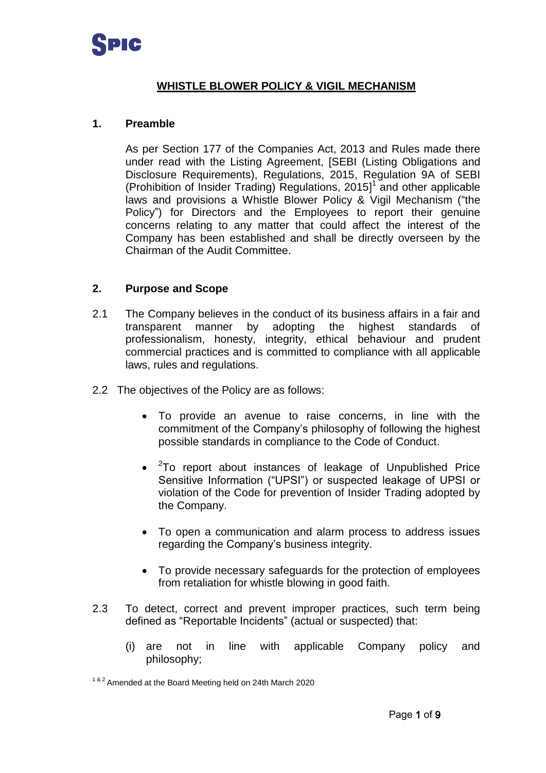## **WHISTLE BLOWER POLICY & VIGIL MECHANISM**

## **1. Preamble**

As per Section 177 of the Companies Act, 2013 and Rules made there under read with the Listing Agreement, [SEBI (Listing Obligations and Disclosure Requirements), Regulations, 2015, Regulation 9A of SEBI (Prohibition of Insider Trading) Regulations, 2015] 1 and other applicable laws and provisions a Whistle Blower Policy & Vigil Mechanism ("the Policy") for Directors and the Employees to report their genuine concerns relating to any matter that could affect the interest of the Company has been established and shall be directly overseen by the Chairman of the Audit Committee.

## **2. Purpose and Scope**

- 2.1 The Company believes in the conduct of its business affairs in a fair and transparent manner by adopting the highest standards of professionalism, honesty, integrity, ethical behaviour and prudent commercial practices and is committed to compliance with all applicable laws, rules and regulations.
- 2.2 The objectives of the Policy are as follows:
	- To provide an avenue to raise concerns, in line with the commitment of the Company"s philosophy of following the highest possible standards in compliance to the Code of Conduct.
	- $\bullet$  $2$ To report about instances of leakage of Unpublished Price Sensitive Information ("UPSI") or suspected leakage of UPSI or violation of the Code for prevention of Insider Trading adopted by the Company.
	- To open a communication and alarm process to address issues regarding the Company"s business integrity.
	- To provide necessary safeguards for the protection of employees from retaliation for whistle blowing in good faith.
- 2.3 To detect, correct and prevent improper practices, such term being defined as "Reportable Incidents" (actual or suspected) that:
	- (i) are not in line with applicable Company policy and philosophy;

<sup>&</sup>lt;sup>1 & 2</sup> Amended at the Board Meeting held on 24th March 2020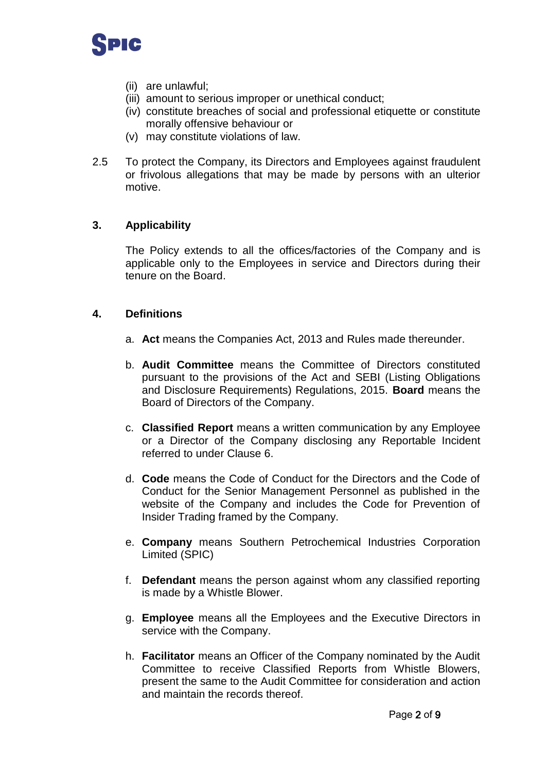

- (ii) are unlawful;
- (iii) amount to serious improper or unethical conduct;
- (iv) constitute breaches of social and professional etiquette or constitute morally offensive behaviour or
- (v) may constitute violations of law.
- 2.5 To protect the Company, its Directors and Employees against fraudulent or frivolous allegations that may be made by persons with an ulterior motive.

## **3. Applicability**

The Policy extends to all the offices/factories of the Company and is applicable only to the Employees in service and Directors during their tenure on the Board.

## **4. Definitions**

- a. **Act** means the Companies Act, 2013 and Rules made thereunder.
- b. **Audit Committee** means the Committee of Directors constituted pursuant to the provisions of the Act and SEBI (Listing Obligations and Disclosure Requirements) Regulations, 2015. **Board** means the Board of Directors of the Company.
- c. **Classified Report** means a written communication by any Employee or a Director of the Company disclosing any Reportable Incident referred to under Clause 6.
- d. **Code** means the Code of Conduct for the Directors and the Code of Conduct for the Senior Management Personnel as published in the website of the Company and includes the Code for Prevention of Insider Trading framed by the Company.
- e. **Company** means Southern Petrochemical Industries Corporation Limited (SPIC)
- f. **Defendant** means the person against whom any classified reporting is made by a Whistle Blower.
- g. **Employee** means all the Employees and the Executive Directors in service with the Company.
- h. **Facilitator** means an Officer of the Company nominated by the Audit Committee to receive Classified Reports from Whistle Blowers, present the same to the Audit Committee for consideration and action and maintain the records thereof.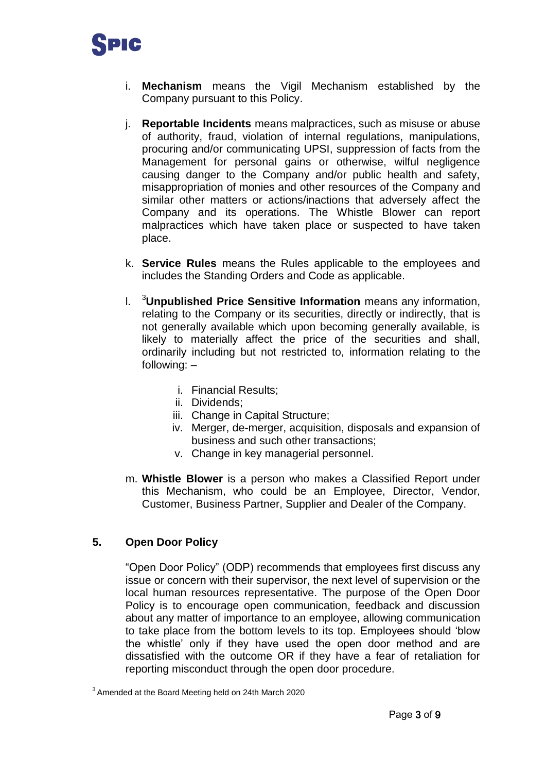# SPIC

- i. **Mechanism** means the Vigil Mechanism established by the Company pursuant to this Policy.
- j. **Reportable Incidents** means malpractices, such as misuse or abuse of authority, fraud, violation of internal regulations, manipulations, procuring and/or communicating UPSI, suppression of facts from the Management for personal gains or otherwise, wilful negligence causing danger to the Company and/or public health and safety, misappropriation of monies and other resources of the Company and similar other matters or actions/inactions that adversely affect the Company and its operations. The Whistle Blower can report malpractices which have taken place or suspected to have taken place.
- k. **Service Rules** means the Rules applicable to the employees and includes the Standing Orders and Code as applicable.
- l. <sup>3</sup>**Unpublished Price Sensitive Information** means any information, relating to the Company or its securities, directly or indirectly, that is not generally available which upon becoming generally available, is likely to materially affect the price of the securities and shall, ordinarily including but not restricted to, information relating to the following: –
	- i. Financial Results;
	- ii. Dividends;
	- iii. Change in Capital Structure;
	- iv. Merger, de-merger, acquisition, disposals and expansion of business and such other transactions;
	- v. Change in key managerial personnel.
- m. **Whistle Blower** is a person who makes a Classified Report under this Mechanism, who could be an Employee, Director, Vendor, Customer, Business Partner, Supplier and Dealer of the Company.

# **5. Open Door Policy**

"Open Door Policy" (ODP) recommends that employees first discuss any issue or concern with their supervisor, the next level of supervision or the local human resources representative. The purpose of the Open Door Policy is to encourage open communication, feedback and discussion about any matter of importance to an employee, allowing communication to take place from the bottom levels to its top. Employees should "blow the whistle" only if they have used the open door method and are dissatisfied with the outcome OR if they have a fear of retaliation for reporting misconduct through the open door procedure.

<sup>&</sup>lt;sup>3</sup> Amended at the Board Meeting held on 24th March 2020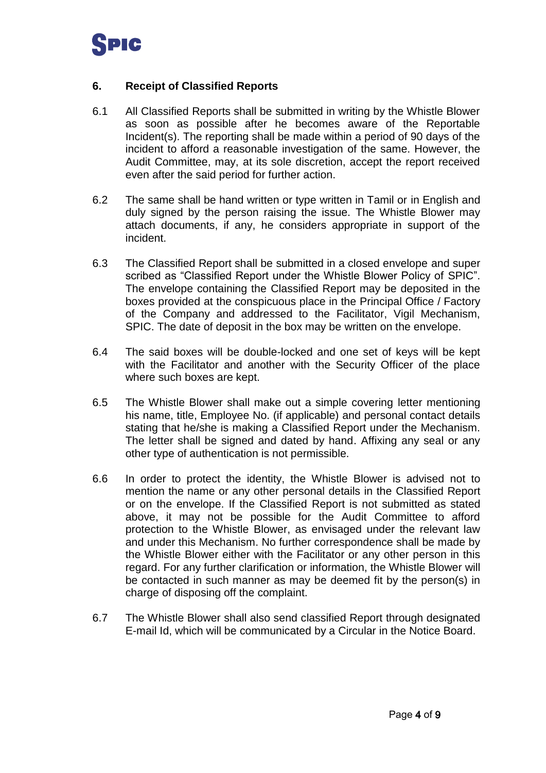

## **6. Receipt of Classified Reports**

- 6.1 All Classified Reports shall be submitted in writing by the Whistle Blower as soon as possible after he becomes aware of the Reportable Incident(s). The reporting shall be made within a period of 90 days of the incident to afford a reasonable investigation of the same. However, the Audit Committee, may, at its sole discretion, accept the report received even after the said period for further action.
- 6.2 The same shall be hand written or type written in Tamil or in English and duly signed by the person raising the issue. The Whistle Blower may attach documents, if any, he considers appropriate in support of the incident.
- 6.3 The Classified Report shall be submitted in a closed envelope and super scribed as "Classified Report under the Whistle Blower Policy of SPIC". The envelope containing the Classified Report may be deposited in the boxes provided at the conspicuous place in the Principal Office / Factory of the Company and addressed to the Facilitator, Vigil Mechanism, SPIC. The date of deposit in the box may be written on the envelope.
- 6.4 The said boxes will be double-locked and one set of keys will be kept with the Facilitator and another with the Security Officer of the place where such boxes are kept.
- 6.5 The Whistle Blower shall make out a simple covering letter mentioning his name, title, Employee No. (if applicable) and personal contact details stating that he/she is making a Classified Report under the Mechanism. The letter shall be signed and dated by hand. Affixing any seal or any other type of authentication is not permissible.
- 6.6 In order to protect the identity, the Whistle Blower is advised not to mention the name or any other personal details in the Classified Report or on the envelope. If the Classified Report is not submitted as stated above, it may not be possible for the Audit Committee to afford protection to the Whistle Blower, as envisaged under the relevant law and under this Mechanism. No further correspondence shall be made by the Whistle Blower either with the Facilitator or any other person in this regard. For any further clarification or information, the Whistle Blower will be contacted in such manner as may be deemed fit by the person(s) in charge of disposing off the complaint.
- 6.7 The Whistle Blower shall also send classified Report through designated E-mail Id, which will be communicated by a Circular in the Notice Board.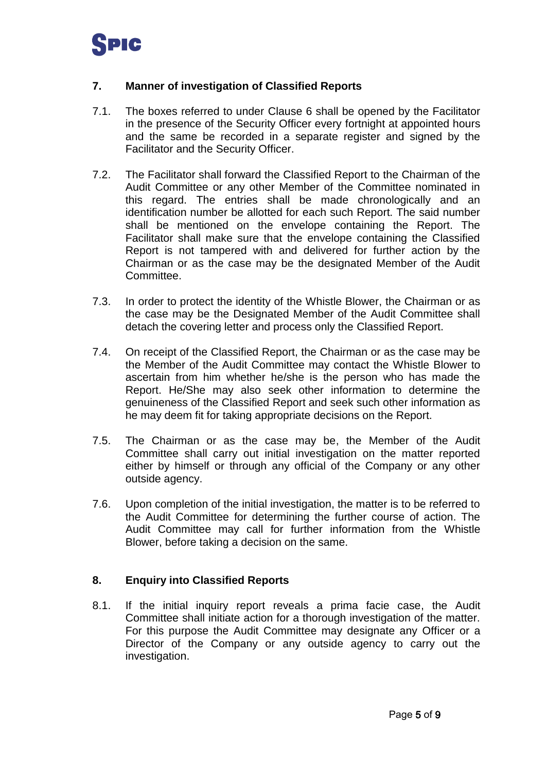

## **7. Manner of investigation of Classified Reports**

- 7.1. The boxes referred to under Clause 6 shall be opened by the Facilitator in the presence of the Security Officer every fortnight at appointed hours and the same be recorded in a separate register and signed by the Facilitator and the Security Officer.
- 7.2. The Facilitator shall forward the Classified Report to the Chairman of the Audit Committee or any other Member of the Committee nominated in this regard. The entries shall be made chronologically and an identification number be allotted for each such Report. The said number shall be mentioned on the envelope containing the Report. The Facilitator shall make sure that the envelope containing the Classified Report is not tampered with and delivered for further action by the Chairman or as the case may be the designated Member of the Audit Committee.
- 7.3. In order to protect the identity of the Whistle Blower, the Chairman or as the case may be the Designated Member of the Audit Committee shall detach the covering letter and process only the Classified Report.
- 7.4. On receipt of the Classified Report, the Chairman or as the case may be the Member of the Audit Committee may contact the Whistle Blower to ascertain from him whether he/she is the person who has made the Report. He/She may also seek other information to determine the genuineness of the Classified Report and seek such other information as he may deem fit for taking appropriate decisions on the Report.
- 7.5. The Chairman or as the case may be, the Member of the Audit Committee shall carry out initial investigation on the matter reported either by himself or through any official of the Company or any other outside agency.
- 7.6. Upon completion of the initial investigation, the matter is to be referred to the Audit Committee for determining the further course of action. The Audit Committee may call for further information from the Whistle Blower, before taking a decision on the same.

## **8. Enquiry into Classified Reports**

8.1. If the initial inquiry report reveals a prima facie case, the Audit Committee shall initiate action for a thorough investigation of the matter. For this purpose the Audit Committee may designate any Officer or a Director of the Company or any outside agency to carry out the investigation.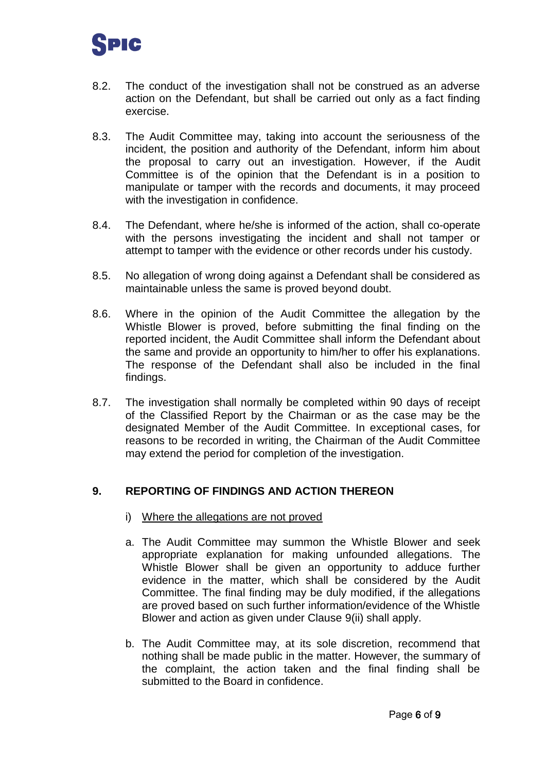

- 8.2. The conduct of the investigation shall not be construed as an adverse action on the Defendant, but shall be carried out only as a fact finding exercise.
- 8.3. The Audit Committee may, taking into account the seriousness of the incident, the position and authority of the Defendant, inform him about the proposal to carry out an investigation. However, if the Audit Committee is of the opinion that the Defendant is in a position to manipulate or tamper with the records and documents, it may proceed with the investigation in confidence.
- 8.4. The Defendant, where he/she is informed of the action, shall co-operate with the persons investigating the incident and shall not tamper or attempt to tamper with the evidence or other records under his custody.
- 8.5. No allegation of wrong doing against a Defendant shall be considered as maintainable unless the same is proved beyond doubt.
- 8.6. Where in the opinion of the Audit Committee the allegation by the Whistle Blower is proved, before submitting the final finding on the reported incident, the Audit Committee shall inform the Defendant about the same and provide an opportunity to him/her to offer his explanations. The response of the Defendant shall also be included in the final findings.
- 8.7. The investigation shall normally be completed within 90 days of receipt of the Classified Report by the Chairman or as the case may be the designated Member of the Audit Committee. In exceptional cases, for reasons to be recorded in writing, the Chairman of the Audit Committee may extend the period for completion of the investigation.

## **9. REPORTING OF FINDINGS AND ACTION THEREON**

- i) Where the allegations are not proved
- a. The Audit Committee may summon the Whistle Blower and seek appropriate explanation for making unfounded allegations. The Whistle Blower shall be given an opportunity to adduce further evidence in the matter, which shall be considered by the Audit Committee. The final finding may be duly modified, if the allegations are proved based on such further information/evidence of the Whistle Blower and action as given under Clause 9(ii) shall apply.
- b. The Audit Committee may, at its sole discretion, recommend that nothing shall be made public in the matter. However, the summary of the complaint, the action taken and the final finding shall be submitted to the Board in confidence.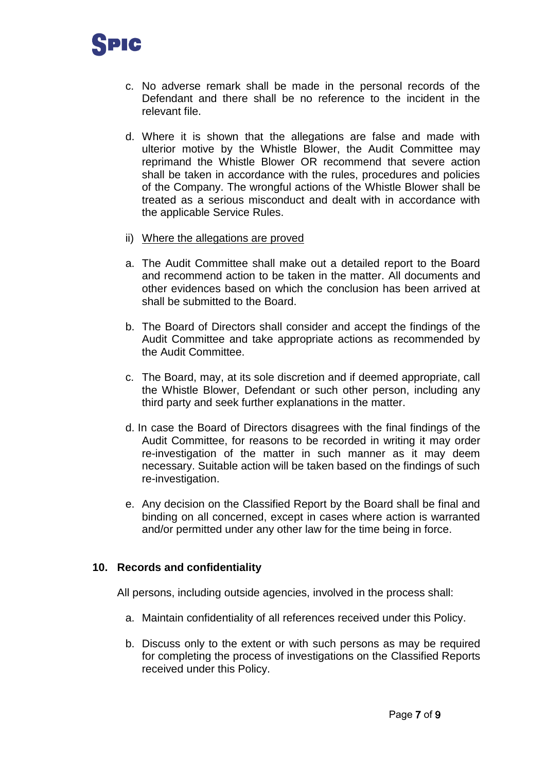

- c. No adverse remark shall be made in the personal records of the Defendant and there shall be no reference to the incident in the relevant file.
- d. Where it is shown that the allegations are false and made with ulterior motive by the Whistle Blower, the Audit Committee may reprimand the Whistle Blower OR recommend that severe action shall be taken in accordance with the rules, procedures and policies of the Company. The wrongful actions of the Whistle Blower shall be treated as a serious misconduct and dealt with in accordance with the applicable Service Rules.
- ii) Where the allegations are proved
- a. The Audit Committee shall make out a detailed report to the Board and recommend action to be taken in the matter. All documents and other evidences based on which the conclusion has been arrived at shall be submitted to the Board.
- b. The Board of Directors shall consider and accept the findings of the Audit Committee and take appropriate actions as recommended by the Audit Committee.
- c. The Board, may, at its sole discretion and if deemed appropriate, call the Whistle Blower, Defendant or such other person, including any third party and seek further explanations in the matter.
- d. In case the Board of Directors disagrees with the final findings of the Audit Committee, for reasons to be recorded in writing it may order re-investigation of the matter in such manner as it may deem necessary. Suitable action will be taken based on the findings of such re-investigation.
- e. Any decision on the Classified Report by the Board shall be final and binding on all concerned, except in cases where action is warranted and/or permitted under any other law for the time being in force.

## **10. Records and confidentiality**

All persons, including outside agencies, involved in the process shall:

- a. Maintain confidentiality of all references received under this Policy.
- b. Discuss only to the extent or with such persons as may be required for completing the process of investigations on the Classified Reports received under this Policy.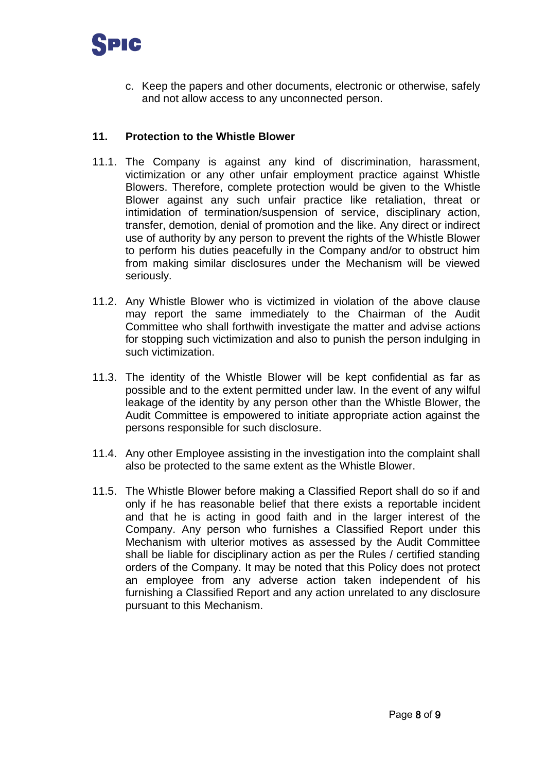

c. Keep the papers and other documents, electronic or otherwise, safely and not allow access to any unconnected person.

## **11. Protection to the Whistle Blower**

- 11.1. The Company is against any kind of discrimination, harassment, victimization or any other unfair employment practice against Whistle Blowers. Therefore, complete protection would be given to the Whistle Blower against any such unfair practice like retaliation, threat or intimidation of termination/suspension of service, disciplinary action, transfer, demotion, denial of promotion and the like. Any direct or indirect use of authority by any person to prevent the rights of the Whistle Blower to perform his duties peacefully in the Company and/or to obstruct him from making similar disclosures under the Mechanism will be viewed seriously.
- 11.2. Any Whistle Blower who is victimized in violation of the above clause may report the same immediately to the Chairman of the Audit Committee who shall forthwith investigate the matter and advise actions for stopping such victimization and also to punish the person indulging in such victimization.
- 11.3. The identity of the Whistle Blower will be kept confidential as far as possible and to the extent permitted under law. In the event of any wilful leakage of the identity by any person other than the Whistle Blower, the Audit Committee is empowered to initiate appropriate action against the persons responsible for such disclosure.
- 11.4. Any other Employee assisting in the investigation into the complaint shall also be protected to the same extent as the Whistle Blower.
- 11.5. The Whistle Blower before making a Classified Report shall do so if and only if he has reasonable belief that there exists a reportable incident and that he is acting in good faith and in the larger interest of the Company. Any person who furnishes a Classified Report under this Mechanism with ulterior motives as assessed by the Audit Committee shall be liable for disciplinary action as per the Rules / certified standing orders of the Company. It may be noted that this Policy does not protect an employee from any adverse action taken independent of his furnishing a Classified Report and any action unrelated to any disclosure pursuant to this Mechanism.